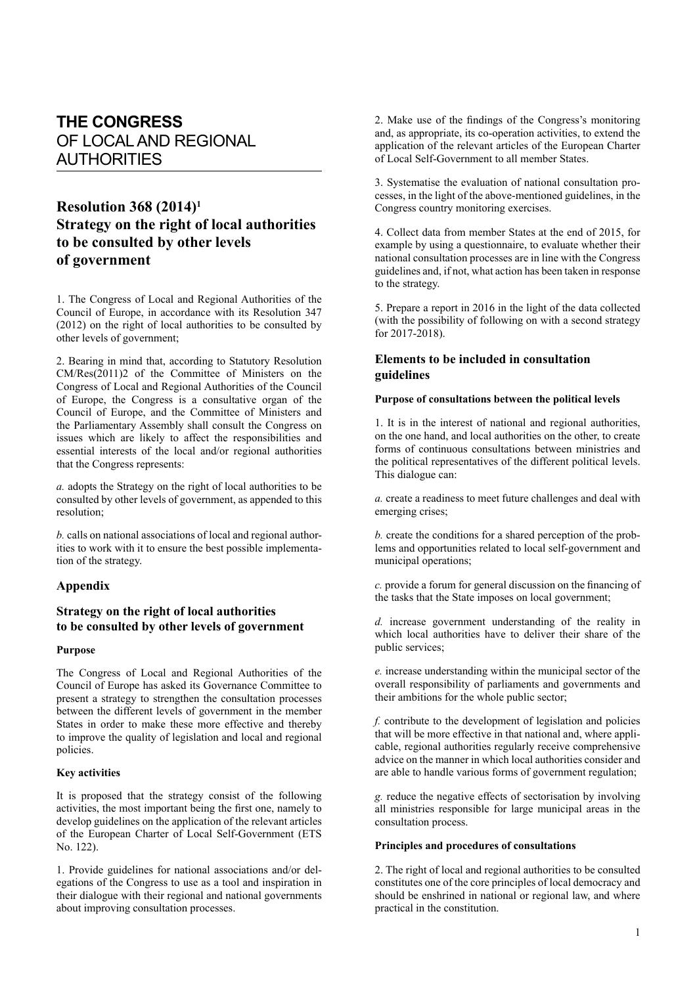# **THE CONGRESS** OF LOCAL AND REGIONAL AUTHORITIES

## **Resolution 368 (2014)1 Strategy on the right of local authorities to be consulted by other levels of government**

1. The Congress of Local and Regional Authorities of the Council of Europe, in accordance with its Resolution 347 (2012) on the right of local authorities to be consulted by other levels of government;

2. Bearing in mind that, according to Statutory Resolution CM/Res(2011)2 of the Committee of Ministers on the Congress of Local and Regional Authorities of the Council of Europe, the Congress is a consultative organ of the Council of Europe, and the Committee of Ministers and the Parliamentary Assembly shall consult the Congress on issues which are likely to affect the responsibilities and essential interests of the local and/or regional authorities that the Congress represents:

*a.* adopts the Strategy on the right of local authorities to be consulted by other levels of government, as appended to this resolution;

*b.* calls on national associations of local and regional authorities to work with it to ensure the best possible implementation of the strategy.

#### **Appendix**

### **Strategy on the right of local authorities to be consulted by other levels of government**

#### **Purpose**

The Congress of Local and Regional Authorities of the Council of Europe has asked its Governance Committee to present a strategy to strengthen the consultation processes between the different levels of government in the member States in order to make these more effective and thereby to improve the quality of legislation and local and regional policies.

#### **Key activities**

It is proposed that the strategy consist of the following activities, the most important being the first one, namely to develop guidelines on the application of the relevant articles of the European Charter of Local Self-Government (ETS No. 122).

1. Provide guidelines for national associations and/or delegations of the Congress to use as a tool and inspiration in their dialogue with their regional and national governments about improving consultation processes.

2. Make use of the findings of the Congress's monitoring and, as appropriate, its co-operation activities, to extend the application of the relevant articles of the European Charter of Local Self-Government to all member States.

3. Systematise the evaluation of national consultation processes, in the light of the above-mentioned guidelines, in the Congress country monitoring exercises.

4. Collect data from member States at the end of 2015, for example by using a questionnaire, to evaluate whether their national consultation processes are in line with the Congress guidelines and, if not, what action has been taken in response to the strategy.

5. Prepare a report in 2016 in the light of the data collected (with the possibility of following on with a second strategy for 2017-2018).

## **Elements to be included in consultation guidelines**

#### **Purpose of consultations between the political levels**

1. It is in the interest of national and regional authorities, on the one hand, and local authorities on the other, to create forms of continuous consultations between ministries and the political representatives of the different political levels. This dialogue can:

*a.* create a readiness to meet future challenges and deal with emerging crises;

*b.* create the conditions for a shared perception of the problems and opportunities related to local self-government and municipal operations;

*c.* provide a forum for general discussion on the financing of the tasks that the State imposes on local government;

*d.* increase government understanding of the reality in which local authorities have to deliver their share of the public services;

*e.* increase understanding within the municipal sector of the overall responsibility of parliaments and governments and their ambitions for the whole public sector;

*f.* contribute to the development of legislation and policies that will be more effective in that national and, where applicable, regional authorities regularly receive comprehensive advice on the manner in which local authorities consider and are able to handle various forms of government regulation;

*g.* reduce the negative effects of sectorisation by involving all ministries responsible for large municipal areas in the consultation process.

#### **Principles and procedures of consultations**

2. The right of local and regional authorities to be consulted constitutes one of the core principles of local democracy and should be enshrined in national or regional law, and where practical in the constitution.